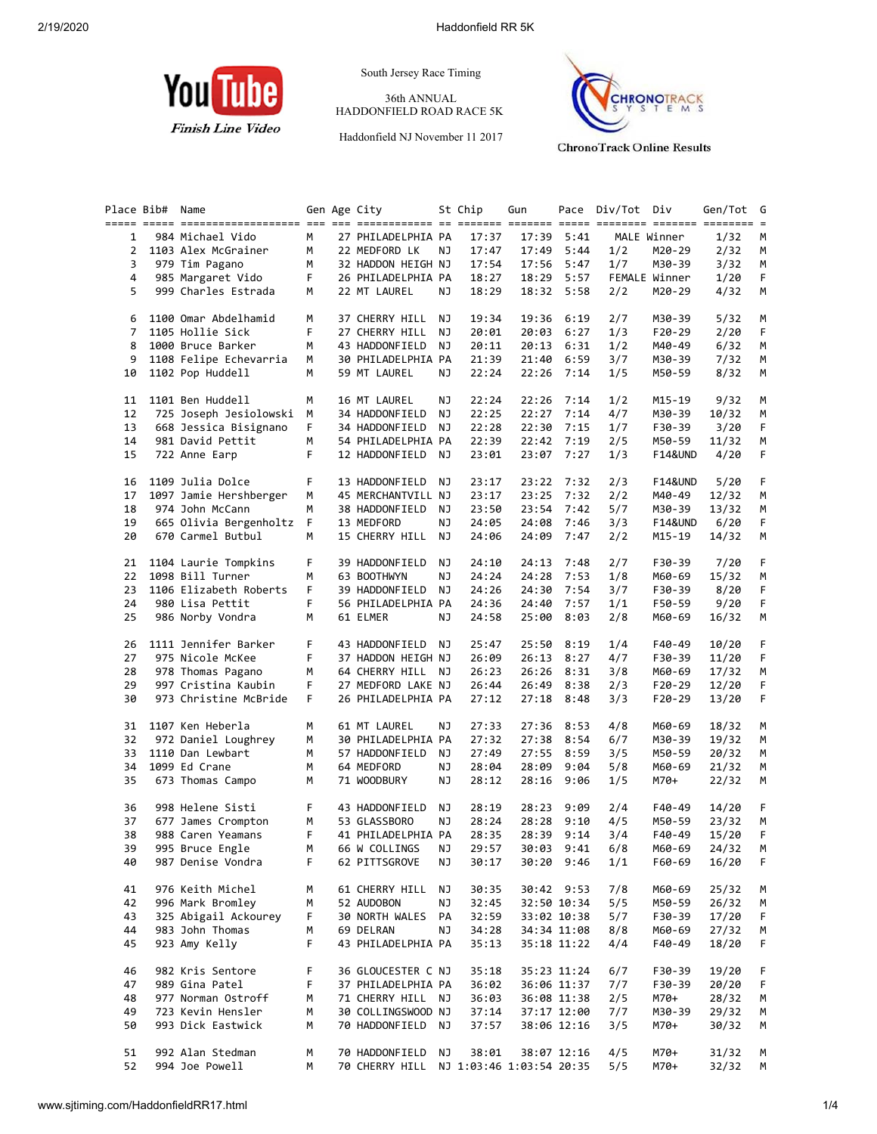

South Jersey Race Timing

36th ANNUAL HADDONFIELD ROAD RACE 5K

Haddonfield NJ November 11 2017



**ChronoTrack Online Results** 

| Place Bib#     | Name                     |    | Gen Age City       |    | St Chip                  | Gun   |             | Pace Div/Tot Div |                    | Gen/Tot | G  |
|----------------|--------------------------|----|--------------------|----|--------------------------|-------|-------------|------------------|--------------------|---------|----|
|                |                          |    |                    |    |                          |       |             |                  |                    |         |    |
| 1              | 984 Michael Vido         | M  | 27 PHILADELPHIA PA |    | 17:37                    | 17:39 | 5:41        |                  | MALE Winner        | 1/32    | M  |
| 2              | 1103 Alex McGrainer      | М  | 22 MEDFORD LK      | ΝJ | 17:47                    | 17:49 | 5:44        | 1/2              | M20-29             | 2/32    | М  |
| 3              | 979 Tim Pagano           | М  | 32 HADDON HEIGH NJ |    | 17:54                    | 17:56 | 5:47        | 1/7              | M30-39             | 3/32    | М  |
| 4              | 985 Margaret Vido        | F. | 26 PHILADELPHIA PA |    | 18:27                    | 18:29 | 5:57        |                  | FEMALE Winner      | 1/20    | F  |
| 5              | 999 Charles Estrada      | м  | 22 MT LAUREL       | ΝJ | 18:29                    |       | 18:32 5:58  | 2/2              | M20-29             | 4/32    | М  |
| 6              | 1100 Omar Abdelhamid     | м  | 37 CHERRY HILL     | ΝJ | 19:34                    | 19:36 | 6:19        | 2/7              | M30-39             | 5/32    | М  |
| $\overline{7}$ | 1105 Hollie Sick         | F  | 27 CHERRY HILL     | NJ | 20:01                    | 20:03 | 6:27        | 1/3              | $F20-29$           | 2/20    | F. |
| 8              | 1000 Bruce Barker        | М  | 43 HADDONFIELD NJ  |    | 20:11                    | 20:13 | 6:31        | 1/2              | M40-49             | 6/32    | М  |
| 9              | 1108 Felipe Echevarria   | М  | 30 PHILADELPHIA PA |    | 21:39                    | 21:40 | 6:59        | 3/7              | M30-39             | 7/32    | М  |
| 10             | 1102 Pop Huddell         | м  | 59 MT LAUREL       | ΝJ | 22:24                    |       | 22:26 7:14  | 1/5              | M50-59             | 8/32    | М  |
| 11             | 1101 Ben Huddell         | М  | 16 MT LAUREL       | ΝJ | 22:24                    | 22:26 | 7:14        | 1/2              | M15-19             | 9/32    | M  |
| 12             | 725 Joseph Jesiolowski   | М  | 34 HADDONFIELD     | NJ | 22:25                    | 22:27 | 7:14        | 4/7              | M30-39             | 10/32   | M  |
| 13             | 668 Jessica Bisignano    | F. | 34 HADDONFIELD NJ  |    | 22:28                    | 22:30 | 7:15        | 1/7              | F30-39             | 3/20    | F  |
| 14             | 981 David Pettit         | M  | 54 PHILADELPHIA PA |    | 22:39                    |       | 22:42 7:19  | 2/5              | M50-59             | 11/32   | М  |
| 15             | 722 Anne Earp            | F. | 12 HADDONFIELD NJ  |    | 23:01                    |       | 23:07 7:27  | 1/3              | F14&UND            | 4/20    | F  |
| 16             | 1109 Julia Dolce         | F. | 13 HADDONFIELD NJ  |    | 23:17                    | 23:22 | 7:32        | 2/3              | <b>F14&amp;UND</b> | 5/20    | F. |
| 17             | 1097 Jamie Hershberger   | м  | 45 MERCHANTVILL NJ |    | 23:17                    | 23:25 | 7:32        | 2/2              | M40-49             | 12/32   | М  |
| 18             | 974 John McCann          | M  | 38 HADDONFIELD     | NJ | 23:50                    | 23:54 | 7:42        | 5/7              | M30-39             | 13/32   | М  |
| 19             | 665 Olivia Bergenholtz F |    | 13 MEDFORD         | NJ | 24:05                    | 24:08 | 7:46        | 3/3              | <b>F14&amp;UND</b> | 6/20    | F  |
| 20             | 670 Carmel Butbul        | М  | 15 CHERRY HILL NJ  |    | 24:06                    | 24:09 | 7:47        | 2/2              | M15-19             | 14/32   | M  |
| 21             | 1104 Laurie Tompkins     | F  | 39 HADDONFIELD     | NJ | 24:10                    | 24:13 | 7:48        | 2/7              | F30-39             | 7/20    | F. |
| 22             | 1098 Bill Turner         | м  | 63 BOOTHWYN        | ΝJ | 24:24                    | 24:28 | 7:53        | 1/8              | M60-69             | 15/32   | M  |
| 23             | 1106 Elizabeth Roberts   | F  | 39 HADDONFIELD NJ  |    | 24:26                    | 24:30 | 7:54        | 3/7              | F30-39             | 8/20    | F  |
| 24             | 980 Lisa Pettit          | F. | 56 PHILADELPHIA PA |    | 24:36                    | 24:40 | 7:57        | 1/1              | F50-59             | 9/20    | F  |
| 25             | 986 Norby Vondra         | М  | 61 ELMER           | ΝJ | 24:58                    | 25:00 | 8:03        | 2/8              | M60-69             | 16/32   | М  |
| 26             | 1111 Jennifer Barker     | F. | 43 HADDONFIELD NJ  |    | 25:47                    | 25:50 | 8:19        | 1/4              | F40-49             | 10/20   | F  |
| 27             | 975 Nicole McKee         | F  | 37 HADDON HEIGH NJ |    | 26:09                    | 26:13 | 8:27        | 4/7              | F30-39             | 11/20   | F  |
| 28             | 978 Thomas Pagano        | М  | 64 CHERRY HILL NJ  |    | 26:23                    | 26:26 | 8:31        | 3/8              | M60-69             | 17/32   | М  |
| 29             | 997 Cristina Kaubin      | F  | 27 MEDFORD LAKE NJ |    | 26:44                    | 26:49 | 8:38        | 2/3              | F20-29             | 12/20   | F  |
| 30             | 973 Christine McBride    | F. | 26 PHILADELPHIA PA |    | 27:12                    |       | 27:18 8:48  | 3/3              | $F20-29$           | 13/20   | F  |
| 31             | 1107 Ken Heberla         | М  | 61 MT LAUREL       | ΝJ | 27:33                    | 27:36 | 8:53        | 4/8              | M60-69             | 18/32   | М  |
| 32             | 972 Daniel Loughrey      | м  | 30 PHILADELPHIA PA |    | 27:32                    | 27:38 | 8:54        | 6/7              | M30-39             | 19/32   | М  |
| 33             | 1110 Dan Lewbart         | M  | 57 HADDONFIELD     | NJ | 27:49                    | 27:55 | 8:59        | 3/5              | M50-59             | 20/32   | М  |
| 34             | 1099 Ed Crane            | М  | 64 MEDFORD         | ΝJ | 28:04                    | 28:09 | 9:04        | 5/8              | M60-69             | 21/32   | М  |
| 35             | 673 Thomas Campo         | М  | 71 WOODBURY        | NJ | 28:12                    |       | 28:16 9:06  | 1/5              | M70+               | 22/32   | М  |
|                |                          |    |                    |    |                          |       |             |                  |                    |         |    |
| 36             | 998 Helene Sisti         | F. | 43 HADDONFIELD     | NJ | 28:19                    | 28:23 | 9:09        | 2/4              | F40-49             | 14/20   | F. |
| 37             | 677 James Crompton       | М  | 53 GLASSBORO       | ΝJ | 28:24                    | 28:28 | 9:10        | 4/5              | M50-59             | 23/32   | М  |
| 38             | 988 Caren Yeamans        | F  | 41 PHILADELPHIA PA |    | 28:35                    |       | 28:39 9:14  | 3/4              | F40-49             | 15/20   | F  |
| 39             | 995 Bruce Engle          | M  | 66 W COLLINGS NJ   |    | 29:57                    |       | 30:03 9:41  | 6/8              | M60-69             | 24/32   | M  |
| 40             | 987 Denise Vondra        | F  | 62 PITTSGROVE      | ΝJ | 30:17                    |       | 30:20 9:46  | 1/1              | F60-69             | 16/20   | F  |
| 41             | 976 Keith Michel         | м  | 61 CHERRY HILL     | ΝJ | 30:35                    |       | 30:42 9:53  | 7/8              | M60-69             | 25/32   | M  |
| 42             | 996 Mark Bromley         | м  | 52 AUDOBON         | ΝJ | 32:45                    |       | 32:50 10:34 | 5/5              | M50-59             | 26/32   | M  |
| 43             | 325 Abigail Ackourey     | F  | 30 NORTH WALES PA  |    | 32:59                    |       | 33:02 10:38 | 5/7              | F30-39             | 17/20   | F  |
| 44             | 983 John Thomas          | м  | 69 DELRAN          | ΝJ | 34:28                    |       | 34:34 11:08 | 8/8              | M60-69             | 27/32   | M  |
| 45             | 923 Amy Kelly            | F  | 43 PHILADELPHIA PA |    | 35:13                    |       | 35:18 11:22 | 4/4              | F40-49             | 18/20   | F  |
| 46             | 982 Kris Sentore         | F  | 36 GLOUCESTER C NJ |    | 35:18                    |       | 35:23 11:24 | 6/7              | F30-39             | 19/20   | F. |
| 47             | 989 Gina Patel           | F  | 37 PHILADELPHIA PA |    | 36:02                    |       | 36:06 11:37 | 7/7              | F30-39             | 20/20   | F  |
| 48             | 977 Norman Ostroff       | м  | 71 CHERRY HILL NJ  |    | 36:03                    |       | 36:08 11:38 | 2/5              | M70+               | 28/32   | M  |
| 49             | 723 Kevin Hensler        | м  | 30 COLLINGSWOOD NJ |    | 37:14                    |       | 37:17 12:00 | 7/7              | M30-39             | 29/32   | M  |
| 50             | 993 Dick Eastwick        | м  | 70 HADDONFIELD NJ  |    | 37:57                    |       | 38:06 12:16 | 3/5              | M70+               | 30/32   | M  |
| 51             | 992 Alan Stedman         | м  | 70 HADDONFIELD     | ΝJ | 38:01                    |       | 38:07 12:16 | 4/5              | M70+               | 31/32   | M  |
| 52             | 994 Joe Powell           | м  | 70 CHERRY HILL     |    | NJ 1:03:46 1:03:54 20:35 |       |             | 5/5              | M70+               | 32/32   | М  |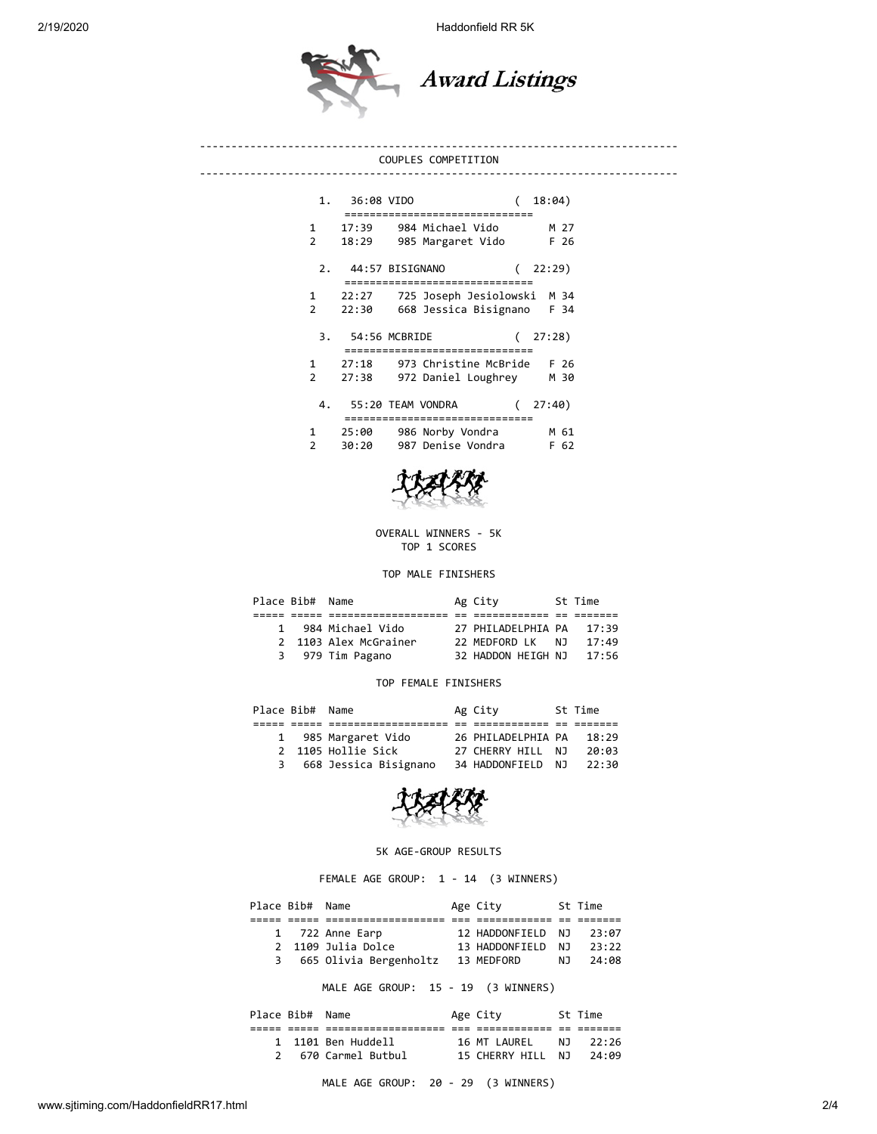2/19/2020 Haddonfield RR 5K



## ---------------------------------------------------------------------------- COUPLES COMPETITION ---------------------------------------------------------------------------- 1. 36:08 VIDO ( 18:04) ============================== 1 17:39 984 Michael Vido M 27 2 18:29 985 Margaret Vido F 26 2. 44:57 BISIGNANO ( 22:29) ============================== 1 22:27 725 Joseph Jesiolowski M 34 2 22:30 668 Jessica Bisignano F 34 3. 54:56 MCBRIDE ( 27:28) ============================== 1 27:18 973 Christine McBride F 26 2 27:38 972 Daniel Loughrey M 30

| 4.            |       | 55:20 TEAM VONDRA | (27:40) |
|---------------|-------|-------------------|---------|
|               |       |                   |         |
|               | 25:00 | 986 Norby Vondra  | M 61    |
| $\mathcal{P}$ | 30:20 | 987 Denise Vondra | F 62    |



OVERALL WINNERS - 5K TOP 1 SCORES

TOP MALE FINISHERS

| Place Bib# Name |                       | Ag City                  |     | St Time |  |
|-----------------|-----------------------|--------------------------|-----|---------|--|
|                 |                       |                          |     |         |  |
| 1               | 984 Michael Vido      | 27 PHILADELPHIA PA 17:39 |     |         |  |
|                 | 2 1103 Alex McGrainer | 22 MEDFORD LK            | N J | 17:49   |  |
|                 | 3 979 Tim Pagano      | 32 HADDON HEIGH NJ       |     | 17:56   |  |
|                 |                       |                          |     |         |  |

## TOP FEMALE FINISHERS

| Place Bib# Name |                       | Ag City            | St Time |
|-----------------|-----------------------|--------------------|---------|
|                 |                       |                    |         |
|                 | 1 985 Margaret Vido   | 26 PHILADELPHIA PA | 18:29   |
|                 | 2 1105 Hollie Sick    | 27 CHERRY HILL NJ  | 20:03   |
| 3               | 668 Jessica Bisignano | 34 HADDONFIELD NJ  | 22:30   |
|                 |                       |                    |         |



## 5K AGE-GROUP RESULTS

FEMALE AGE GROUP: 1 - 14 (3 WINNERS)

| Place Bib# Name |                        | Age City          |     | St Time |  |
|-----------------|------------------------|-------------------|-----|---------|--|
|                 |                        |                   |     |         |  |
|                 | 1 722 Anne Earp        | 12 HADDONFIELD NJ |     | 23:07   |  |
|                 | 2 1109 Julia Dolce     | 13 HADDONFIELD NJ |     | 23:22   |  |
| 3               | 665 Olivia Bergenholtz | 13 MEDFORD        | N J | 24:08   |  |
|                 |                        |                   |     |         |  |

MALE AGE GROUP: 15 - 19 (3 WINNERS)

| Place Bib# Name |                    | Age City          |     | St Time |
|-----------------|--------------------|-------------------|-----|---------|
|                 |                    |                   |     |         |
|                 | 1 1101 Ben Huddell | 16 MT LAUREL      | N T | 22:26   |
|                 | 670 Carmel Butbul  | 15 CHERRY HILL NJ |     | 24:09   |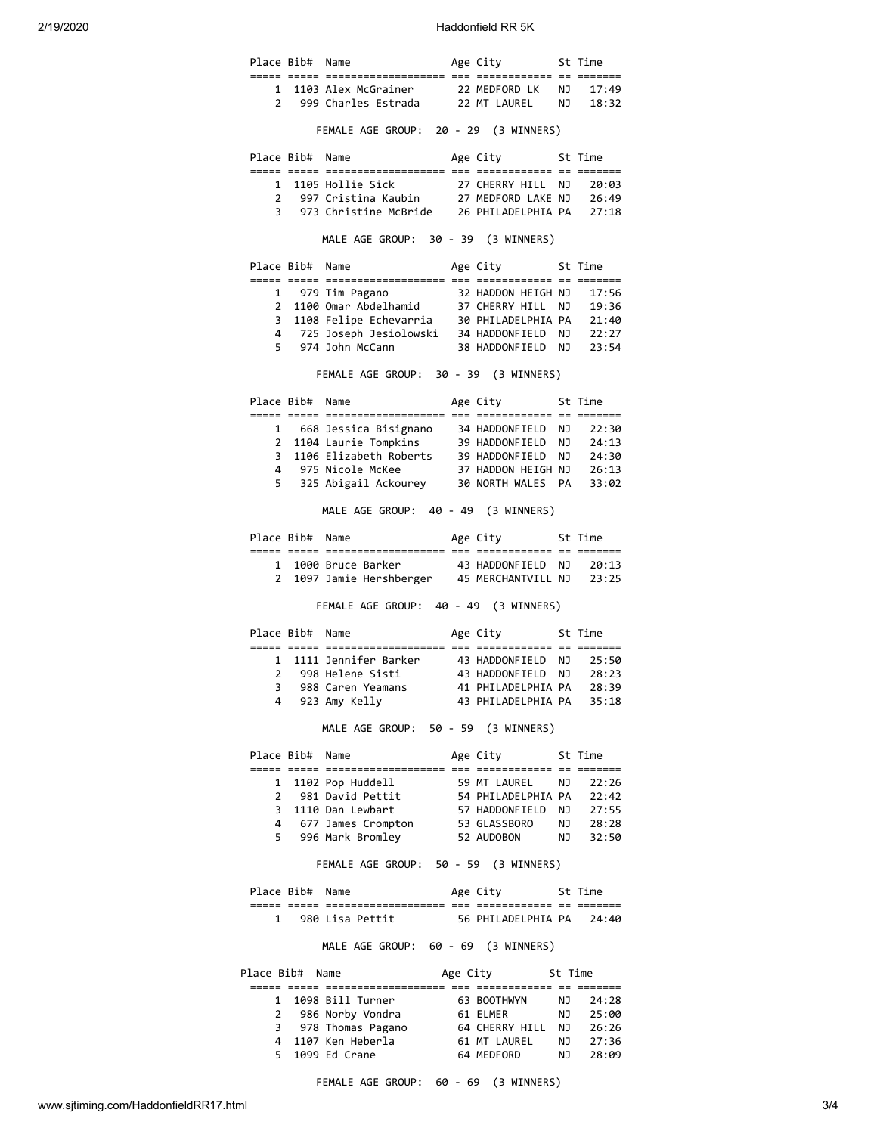2/19/2020 Haddonfield RR 5K

|                   | Place Bib# Name |                                                                                                                                              | Age City 5t Time                                                        |       |
|-------------------|-----------------|----------------------------------------------------------------------------------------------------------------------------------------------|-------------------------------------------------------------------------|-------|
| $1 \quad$         |                 | 1103 Alex McGrainer 22 MEDFORD LK NJ 17:49                                                                                                   |                                                                         |       |
|                   |                 | 2 999 Charles Estrada 22 MT LAUREL NJ 18:32                                                                                                  |                                                                         |       |
|                   |                 | FEMALE AGE GROUP: 20 - 29 (3 WINNERS)                                                                                                        |                                                                         |       |
|                   | Place Bib# Name |                                                                                                                                              | Age City 5t Time                                                        |       |
|                   |                 |                                                                                                                                              |                                                                         |       |
|                   |                 |                                                                                                                                              |                                                                         |       |
|                   |                 |                                                                                                                                              |                                                                         |       |
|                   |                 | MALE AGE GROUP: 30 - 39 (3 WINNERS)                                                                                                          |                                                                         |       |
|                   | Place Bib# Name |                                                                                                                                              | Age City 5t Time                                                        |       |
|                   |                 |                                                                                                                                              |                                                                         |       |
|                   |                 | 1 979 Tim Pagano 32 HADDON HEIGH NJ 17:56<br>2 1100 Omar Abdelhamid 37 CHERRY HILL NJ 19:36                                                  |                                                                         |       |
| 3                 |                 | 1108 Felipe Echevarria 30 PHILADELPHIA PA 21:40<br>725 Joseph Jesiolowski 34 HADDONFIELD NJ 22:27<br>974 John McCann 38 HADDONFIELD NJ 23:54 |                                                                         |       |
| 4                 |                 |                                                                                                                                              |                                                                         |       |
|                   |                 | 5 974 John McCann                                                                                                                            |                                                                         |       |
|                   |                 | FEMALE AGE GROUP: 30 - 39 (3 WINNERS)                                                                                                        |                                                                         |       |
|                   | Place Bib# Name |                                                                                                                                              | Age City 5t Time                                                        |       |
|                   |                 |                                                                                                                                              |                                                                         |       |
|                   |                 | 1 668 Jessica Bisignano 14 HADDONFIELD NJ 22:30<br>2 1104 Laurie Tompkins 19 HADDONFIELD NJ 24:13                                            |                                                                         |       |
| 3                 |                 |                                                                                                                                              |                                                                         |       |
| 4                 |                 | 1106 Elizabeth Roberts 39 HADDONFIELD NJ 24:30<br>975 Nicole McKee 37 HADDON HEIGH NJ 26:13                                                  |                                                                         |       |
|                   |                 | 5 325 Abigail Ackourey 30 NORTH WALES PA 33:02                                                                                               |                                                                         |       |
|                   |                 | MALE AGE GROUP: 40 - 49 (3 WINNERS)                                                                                                          |                                                                         |       |
|                   | Place Bib# Name |                                                                                                                                              | Age City 5t Time                                                        |       |
|                   |                 |                                                                                                                                              |                                                                         |       |
|                   |                 | 1 1000 Bruce Barker 43 HADDONFIELD NJ 20:13                                                                                                  |                                                                         |       |
| $\mathbf{2}$      |                 | 1097 Jamie Hershberger 45 MERCHANTVILL NJ 23:25                                                                                              |                                                                         |       |
|                   |                 | FEMALE AGE GROUP: 40 - 49 (3 WINNERS)                                                                                                        |                                                                         |       |
|                   | Place Bib# Name |                                                                                                                                              | Age City 5t Time                                                        |       |
| $\mathbf{1}$      |                 | 1111 Jennifer Barker                                                                                                                         |                                                                         |       |
| 2                 |                 | 998 Helene Sisti                                                                                                                             | 43 HADDONFIELD  NJ   25:50<br>43 HADDONFIELD  NJ   28:23                |       |
| 3                 |                 | 988 Caren Yeamans                                                                                                                            | 41 PHILADELPHIA PA                                                      | 28:39 |
| 4                 |                 | 923 Amy Kelly                                                                                                                                | 43 PHILADELPHIA PA 35:18                                                |       |
|                   |                 | MALE AGE GROUP: 50 - 59 (3 WINNERS)                                                                                                          |                                                                         |       |
|                   | Place Bib# Name |                                                                                                                                              | Age City 5t Time                                                        |       |
|                   |                 |                                                                                                                                              |                                                                         |       |
| 1                 |                 | 1102 Pop Huddell 59 MT LAUREL NJ 22:26<br>981 David Pettit 54 PHILADELPHIA PA 22:42                                                          |                                                                         |       |
| 3                 |                 | 2 981 David Pettit<br>1110 Dan Lewbart                                                                                                       |                                                                         |       |
|                   |                 | 4 677 James Crompton                                                                                                                         |                                                                         |       |
|                   |                 | 5 996 Mark Bromley                                                                                                                           | 57 HADDONFIELD NJ 27:55<br>53 GLASSBORO NJ 28:28<br>52 AUDOBON NJ 32:50 |       |
|                   |                 | FEMALE AGE GROUP: 50 - 59 (3 WINNERS)                                                                                                        |                                                                         |       |
|                   | Place Bib# Name |                                                                                                                                              | Age City 5t Time                                                        |       |
|                   |                 |                                                                                                                                              |                                                                         |       |
|                   |                 | 1 980 Lisa Pettit                                                                                                                            | 56 PHILADELPHIA PA 24:40                                                |       |
|                   |                 | MALE AGE GROUP: 60 - 69 (3 WINNERS)                                                                                                          |                                                                         |       |
|                   |                 | Place Bib# Name                                                                                                                              | Age City 5t Time                                                        |       |
|                   |                 |                                                                                                                                              |                                                                         |       |
|                   |                 | 1 1098 Bill Turner                                                                                                                           | 63 BOOTHWYN NJ 24:28                                                    |       |
| $\mathbf{2}$<br>3 |                 |                                                                                                                                              |                                                                         |       |
|                   |                 | 4 1107 Ken Heberla                                                                                                                           |                                                                         |       |
|                   |                 | 5 1099 Ed Crane                                                                                                                              | 64 MEDFORD NJ 28:09                                                     |       |
|                   |                 |                                                                                                                                              |                                                                         |       |